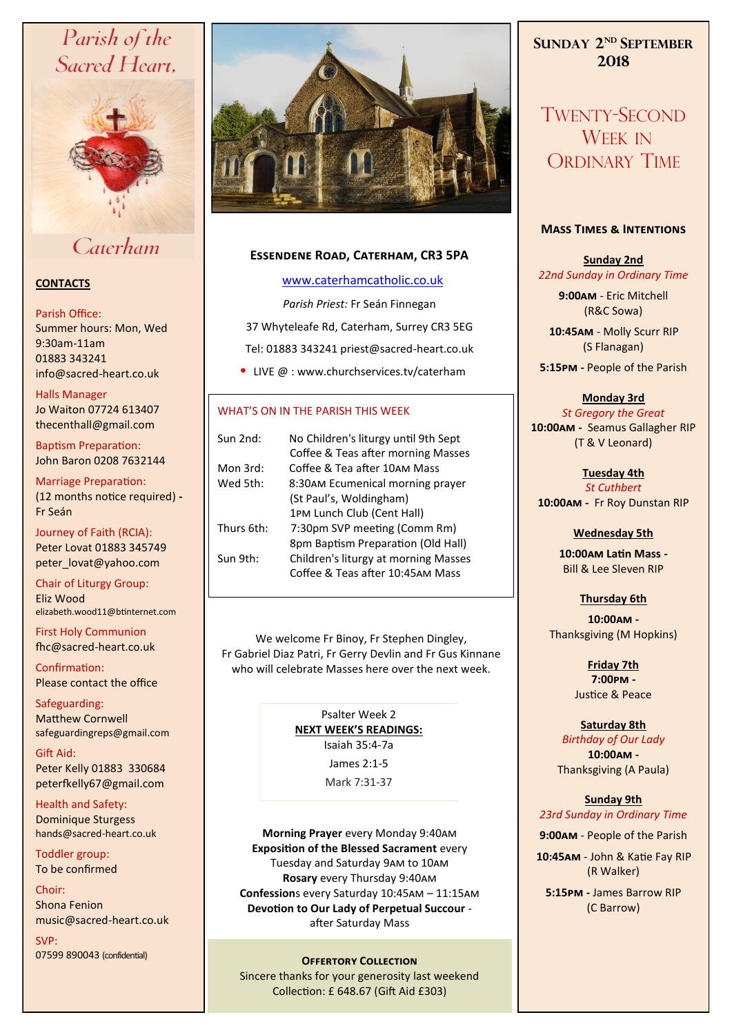# Parish of the Sacred Heart,



# Caterham

#### **CONTACTS**

#### Parish Office:

Summer hours: Mon, Wed 9:30am-11am 01883 343241 info@sacred-heart.co.uk .

Halls Manager

Jo Waiton 07724 613407 thecenthall@gmail.com

Baptism Preparation: John Baron 0208 7632144

Marriage Preparation: (12 months notice required) **-** Fr Seán

Journey of Faith (RCIA): Peter Lovat 01883 345749 peter\_lovat@yahoo.com

Chair of Liturgy Group: Eliz Wood elizabeth.wood11@btinternet.com

First Holy Communion fhc@sacred-heart.co.uk

Confirmation: Please contact the office

Safeguarding: Matthew Cornwell safeguardingreps@gmail.com

Gift Aid: Peter Kelly 01883 330684 peterfkelly67@gmail.com

Health and Safety: Dominique Sturgess hands@sacred-heart.co.uk

Toddler group: To be confirmed

Choir: Shona Fenion music@sacred-heart.co.uk

SVP: 07599 890043 (confidential)



## **Essendene Road, Caterham, CR3 5PA**

#### [www.caterhamcatholic.co.uk](http://Www.caterhamcatholic.co.uk)

*Parish Priest:* Fr Seán Finnegan 37 Whyteleafe Rd, Caterham, Surrey CR3 5EG Tel: 01883 343241 priest@sacred-heart.co.uk

• LIVE @ : www.churchservices.tv/caterham

#### WHAT'S ON IN THE PARISH THIS WEEK.

| Sun 2nd:   | No Children's liturgy until 9th Sept |
|------------|--------------------------------------|
|            | Coffee & Teas after morning Masses   |
| Mon 3rd:   | Coffee & Tea after 10AM Mass         |
| Wed 5th:   | 8:30AM Ecumenical morning prayer     |
|            | (St Paul's, Woldingham)              |
|            | 1PM Lunch Club (Cent Hall)           |
| Thurs 6th: | 7:30pm SVP meeting (Comm Rm)         |
|            | 8pm Baptism Preparation (Old Hall)   |
| Sun 9th:   | Children's liturgy at morning Masses |
|            | Coffee & Teas after 10:45AM Mass     |
|            |                                      |

We welcome Fr Binoy, Fr Stephen Dingley, Fr Gabriel Diaz Patri, Fr Gerry Devlin and Fr Gus Kinnane who will celebrate Masses here over the next week.

> Psalter Week 2 **NEXT WEEK'S READINGS:**  Isaiah 35:4-7a

James 2:1-5 Mark 7:31-37

**Morning Prayer** every Monday 9:40am **Exposition of the Blessed Sacrament** every Tuesday and Saturday 9am to 10am **Rosary** every Thursday 9:40am **Confession**s every Saturday 10:45am – 11:15am **Devotion to Our Lady of Perpetual Succour**  after Saturday Mass

#### **OFFERTORY COLLECTION**

Sincere thanks for your generosity last weekend Collection: £ 648.67 (Gift Aid £303)

# **SUNDAY 2 ND SEPTEMBER 2018**

TWENTY-SECOND WEEK IN ORDINARY TIME

#### **Mass Times & Intentions**

### **Sunday 2nd** *22nd Sunday in Ordinary Time*

**9:00am** - Eric Mitchell (R&C Sowa)

.**10:45am** - Molly Scurr RIP (S Flanagan)

**5:15pm -** People of the Parish

#### **Monday 3rd**

*St Gregory the Great* **10:00am -** Seamus Gallagher RIP (T & V Leonard)

**Tuesday 4th**  *St Cuthbert* **10:00am -** Fr Roy Dunstan RIP

### **Wednesday 5th**

**10:00am Latin Mass -** Bill & Lee Sleven RIP

**Thursday 6th** 

**10:00am -**  Thanksgiving (M Hopkins)

> **Friday 7th 7:00pm -** Justice & Peace

# **Saturday 8th**

*Birthday of Our Lady* **10:00am -**  Thanksgiving (A Paula)

**Sunday 9th** *23rd Sunday in Ordinary Time*

**9:00am** - People of the Parish

.**10:45am** - John & Katie Fay RIP (R Walker)

**5:15pm -** James Barrow RIP (C Barrow)